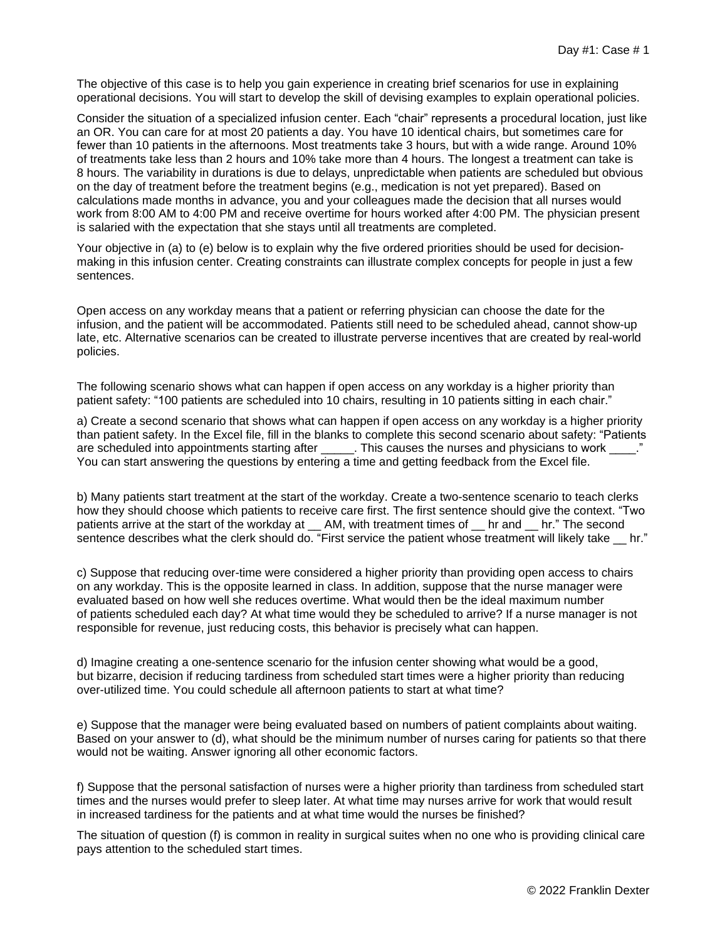The objective of this case is to help you gain experience in creating brief scenarios for use in explaining operational decisions. You will start to develop the skill of devising examples to explain operational policies.

Consider the situation of a specialized infusion center. Each "chair" represents a procedural location, just like an OR. You can care for at most 20 patients a day. You have 10 identical chairs, but sometimes care for fewer than 10 patients in the afternoons. Most treatments take 3 hours, but with a wide range. Around 10% of treatments take less than 2 hours and 10% take more than 4 hours. The longest a treatment can take is 8 hours. The variability in durations is due to delays, unpredictable when patients are scheduled but obvious on the day of treatment before the treatment begins (e.g., medication is not yet prepared). Based on calculations made months in advance, you and your colleagues made the decision that all nurses would work from 8:00 AM to 4:00 PM and receive overtime for hours worked after 4:00 PM. The physician present is salaried with the expectation that she stays until all treatments are completed.

Your objective in (a) to (e) below is to explain why the five ordered priorities should be used for decisionmaking in this infusion center. Creating constraints can illustrate complex concepts for people in just a few sentences.

Open access on any workday means that a patient or referring physician can choose the date for the infusion, and the patient will be accommodated. Patients still need to be scheduled ahead, cannot show-up late, etc. Alternative scenarios can be created to illustrate perverse incentives that are created by real-world policies.

The following scenario shows what can happen if open access on any workday is a higher priority than patient safety: "100 patients are scheduled into 10 chairs, resulting in 10 patients sitting in each chair."

a) Create a second scenario that shows what can happen if open access on any workday is a higher priority than patient safety. In the Excel file, fill in the blanks to complete this second scenario about safety: "Patients are scheduled into appointments starting after \_\_\_\_\_. This causes the nurses and physicians to work \_\_\_\_." You can start answering the questions by entering a time and getting feedback from the Excel file.

b) Many patients start treatment at the start of the workday. Create a two-sentence scenario to teach clerks how they should choose which patients to receive care first. The first sentence should give the context. "Two patients arrive at the start of the workday at \_\_ AM, with treatment times of \_\_ hr and \_\_ hr." The second sentence describes what the clerk should do. "First service the patient whose treatment will likely take hr."

c) Suppose that reducing over-time were considered a higher priority than providing open access to chairs on any workday. This is the opposite learned in class. In addition, suppose that the nurse manager were evaluated based on how well she reduces overtime. What would then be the ideal maximum number of patients scheduled each day? At what time would they be scheduled to arrive? If a nurse manager is not responsible for revenue, just reducing costs, this behavior is precisely what can happen.

d) Imagine creating a one-sentence scenario for the infusion center showing what would be a good, but bizarre, decision if reducing tardiness from scheduled start times were a higher priority than reducing over-utilized time. You could schedule all afternoon patients to start at what time?

e) Suppose that the manager were being evaluated based on numbers of patient complaints about waiting. Based on your answer to (d), what should be the minimum number of nurses caring for patients so that there would not be waiting. Answer ignoring all other economic factors.

f) Suppose that the personal satisfaction of nurses were a higher priority than tardiness from scheduled start times and the nurses would prefer to sleep later. At what time may nurses arrive for work that would result in increased tardiness for the patients and at what time would the nurses be finished?

The situation of question (f) is common in reality in surgical suites when no one who is providing clinical care pays attention to the scheduled start times.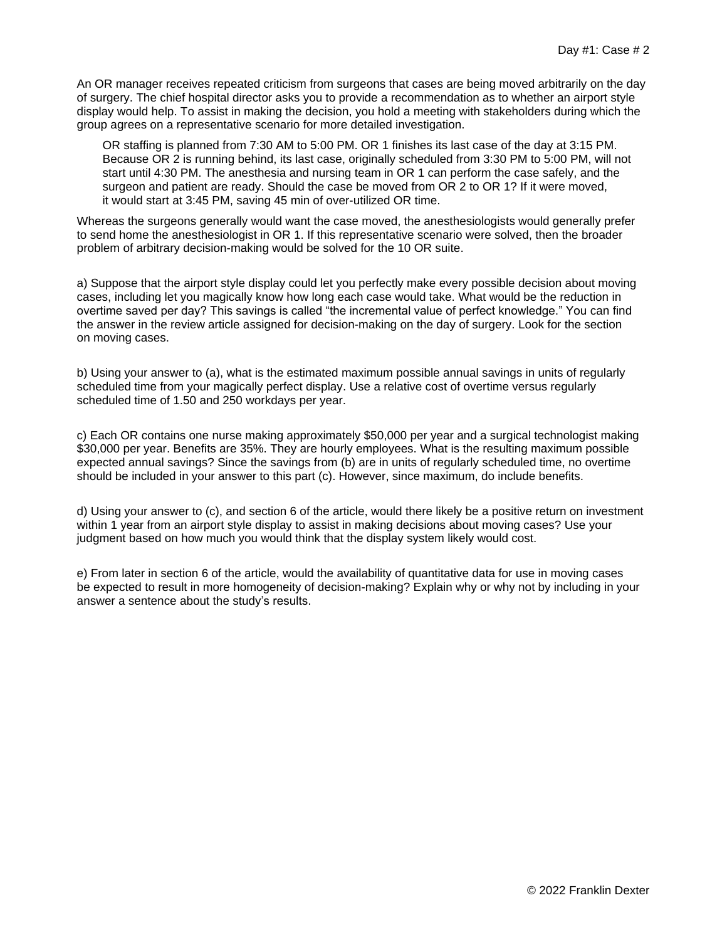An OR manager receives repeated criticism from surgeons that cases are being moved arbitrarily on the day of surgery. The chief hospital director asks you to provide a recommendation as to whether an airport style display would help. To assist in making the decision, you hold a meeting with stakeholders during which the group agrees on a representative scenario for more detailed investigation.

OR staffing is planned from 7:30 AM to 5:00 PM. OR 1 finishes its last case of the day at 3:15 PM. Because OR 2 is running behind, its last case, originally scheduled from 3:30 PM to 5:00 PM, will not start until 4:30 PM. The anesthesia and nursing team in OR 1 can perform the case safely, and the surgeon and patient are ready. Should the case be moved from OR 2 to OR 1? If it were moved, it would start at 3:45 PM, saving 45 min of over-utilized OR time.

Whereas the surgeons generally would want the case moved, the anesthesiologists would generally prefer to send home the anesthesiologist in OR 1. If this representative scenario were solved, then the broader problem of arbitrary decision-making would be solved for the 10 OR suite.

a) Suppose that the airport style display could let you perfectly make every possible decision about moving cases, including let you magically know how long each case would take. What would be the reduction in overtime saved per day? This savings is called "the incremental value of perfect knowledge." You can find the answer in the review article assigned for decision-making on the day of surgery. Look for the section on moving cases.

b) Using your answer to (a), what is the estimated maximum possible annual savings in units of regularly scheduled time from your magically perfect display. Use a relative cost of overtime versus regularly scheduled time of 1.50 and 250 workdays per year.

c) Each OR contains one nurse making approximately \$50,000 per year and a surgical technologist making \$30,000 per year. Benefits are 35%. They are hourly employees. What is the resulting maximum possible expected annual savings? Since the savings from (b) are in units of regularly scheduled time, no overtime should be included in your answer to this part (c). However, since maximum, do include benefits.

d) Using your answer to (c), and section 6 of the article, would there likely be a positive return on investment within 1 year from an airport style display to assist in making decisions about moving cases? Use your judgment based on how much you would think that the display system likely would cost.

e) From later in section 6 of the article, would the availability of quantitative data for use in moving cases be expected to result in more homogeneity of decision-making? Explain why or why not by including in your answer a sentence about the study's results.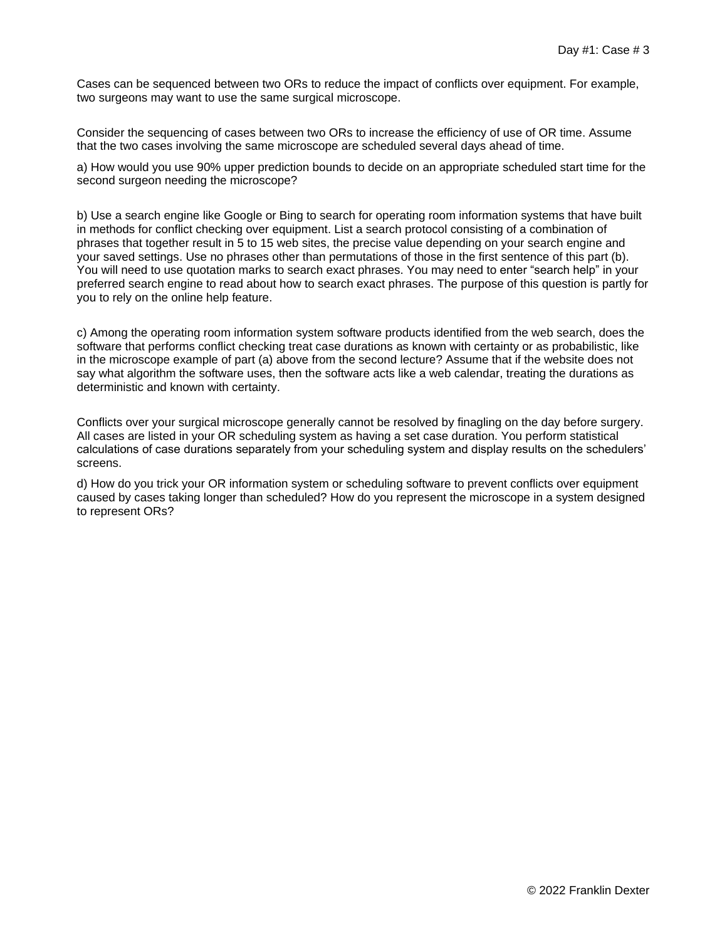Cases can be sequenced between two ORs to reduce the impact of conflicts over equipment. For example, two surgeons may want to use the same surgical microscope.

Consider the sequencing of cases between two ORs to increase the efficiency of use of OR time. Assume that the two cases involving the same microscope are scheduled several days ahead of time.

a) How would you use 90% upper prediction bounds to decide on an appropriate scheduled start time for the second surgeon needing the microscope?

b) Use a search engine like Google or Bing to search for operating room information systems that have built in methods for conflict checking over equipment. List a search protocol consisting of a combination of phrases that together result in 5 to 15 web sites, the precise value depending on your search engine and your saved settings. Use no phrases other than permutations of those in the first sentence of this part (b). You will need to use quotation marks to search exact phrases. You may need to enter "search help" in your preferred search engine to read about how to search exact phrases. The purpose of this question is partly for you to rely on the online help feature.

c) Among the operating room information system software products identified from the web search, does the software that performs conflict checking treat case durations as known with certainty or as probabilistic, like in the microscope example of part (a) above from the second lecture? Assume that if the website does not say what algorithm the software uses, then the software acts like a web calendar, treating the durations as deterministic and known with certainty.

Conflicts over your surgical microscope generally cannot be resolved by finagling on the day before surgery. All cases are listed in your OR scheduling system as having a set case duration. You perform statistical calculations of case durations separately from your scheduling system and display results on the schedulers' screens.

d) How do you trick your OR information system or scheduling software to prevent conflicts over equipment caused by cases taking longer than scheduled? How do you represent the microscope in a system designed to represent ORs?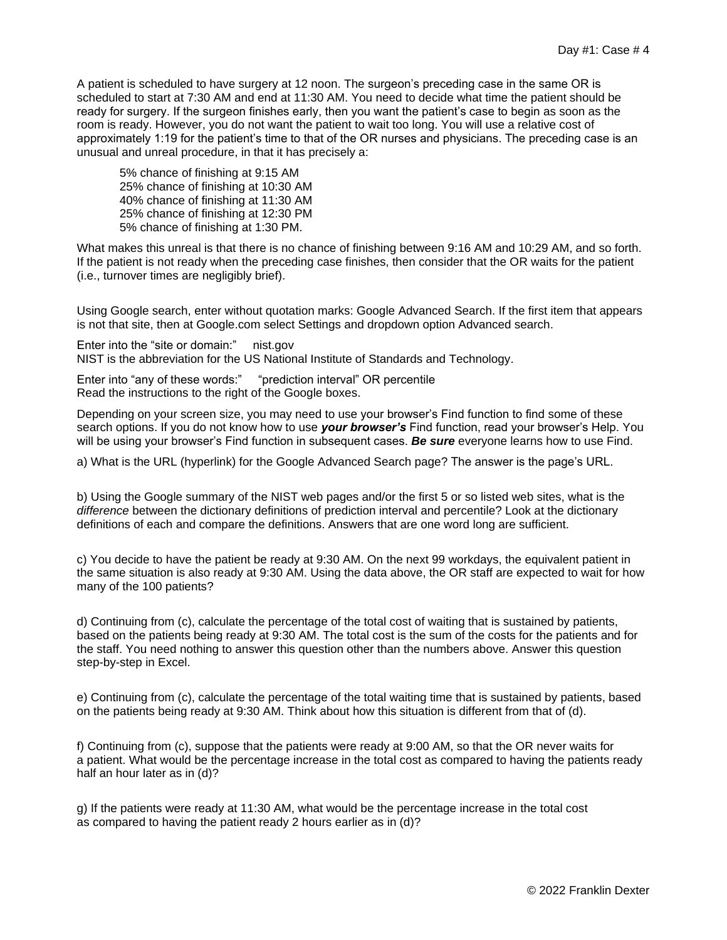A patient is scheduled to have surgery at 12 noon. The surgeon's preceding case in the same OR is scheduled to start at 7:30 AM and end at 11:30 AM. You need to decide what time the patient should be ready for surgery. If the surgeon finishes early, then you want the patient's case to begin as soon as the room is ready. However, you do not want the patient to wait too long. You will use a relative cost of approximately 1:19 for the patient's time to that of the OR nurses and physicians. The preceding case is an unusual and unreal procedure, in that it has precisely a:

5% chance of finishing at 9:15 AM 25% chance of finishing at 10:30 AM 40% chance of finishing at 11:30 AM 25% chance of finishing at 12:30 PM 5% chance of finishing at 1:30 PM.

What makes this unreal is that there is no chance of finishing between 9:16 AM and 10:29 AM, and so forth. If the patient is not ready when the preceding case finishes, then consider that the OR waits for the patient (i.e., turnover times are negligibly brief).

Using Google search, enter without quotation marks: Google Advanced Search. If the first item that appears is not that site, then at Google.com select Settings and dropdown option Advanced search.

Enter into the "site or domain:" nist.gov NIST is the abbreviation for the US National Institute of Standards and Technology.

Enter into "any of these words:" "prediction interval" OR percentile Read the instructions to the right of the Google boxes.

Depending on your screen size, you may need to use your browser's Find function to find some of these search options. If you do not know how to use *your browser's* Find function, read your browser's Help. You will be using your browser's Find function in subsequent cases. *Be sure* everyone learns how to use Find.

a) What is the URL (hyperlink) for the Google Advanced Search page? The answer is the page's URL.

b) Using the Google summary of the NIST web pages and/or the first 5 or so listed web sites, what is the *difference* between the dictionary definitions of prediction interval and percentile? Look at the dictionary definitions of each and compare the definitions. Answers that are one word long are sufficient.

c) You decide to have the patient be ready at 9:30 AM. On the next 99 workdays, the equivalent patient in the same situation is also ready at 9:30 AM. Using the data above, the OR staff are expected to wait for how many of the 100 patients?

d) Continuing from (c), calculate the percentage of the total cost of waiting that is sustained by patients, based on the patients being ready at 9:30 AM. The total cost is the sum of the costs for the patients and for the staff. You need nothing to answer this question other than the numbers above. Answer this question step-by-step in Excel.

e) Continuing from (c), calculate the percentage of the total waiting time that is sustained by patients, based on the patients being ready at 9:30 AM. Think about how this situation is different from that of (d).

f) Continuing from (c), suppose that the patients were ready at 9:00 AM, so that the OR never waits for a patient. What would be the percentage increase in the total cost as compared to having the patients ready half an hour later as in (d)?

g) If the patients were ready at 11:30 AM, what would be the percentage increase in the total cost as compared to having the patient ready 2 hours earlier as in (d)?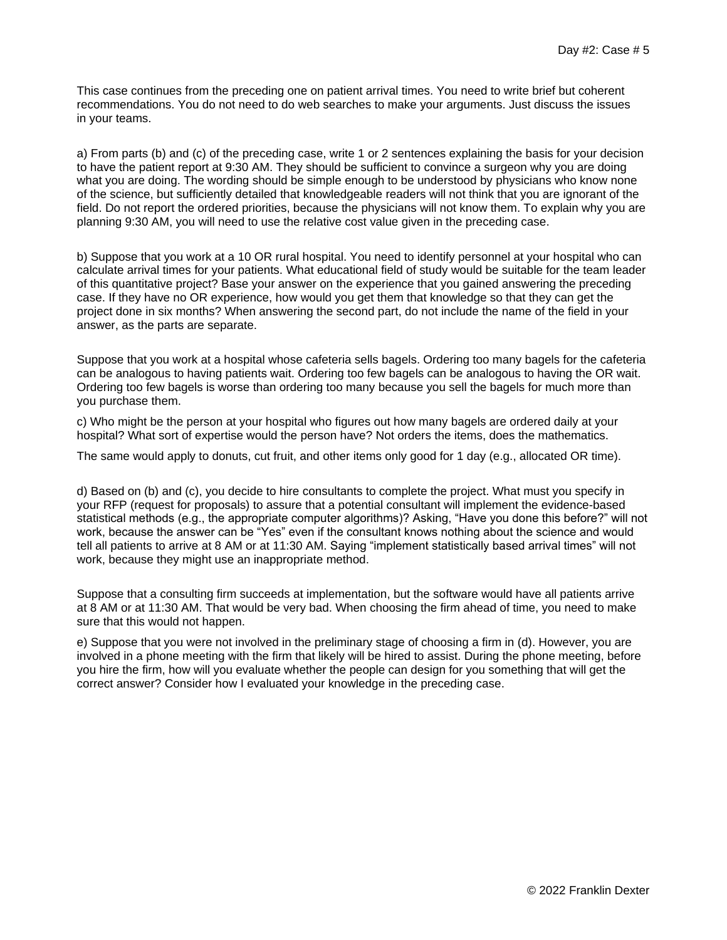This case continues from the preceding one on patient arrival times. You need to write brief but coherent recommendations. You do not need to do web searches to make your arguments. Just discuss the issues in your teams.

a) From parts (b) and (c) of the preceding case, write 1 or 2 sentences explaining the basis for your decision to have the patient report at 9:30 AM. They should be sufficient to convince a surgeon why you are doing what you are doing. The wording should be simple enough to be understood by physicians who know none of the science, but sufficiently detailed that knowledgeable readers will not think that you are ignorant of the field. Do not report the ordered priorities, because the physicians will not know them. To explain why you are planning 9:30 AM, you will need to use the relative cost value given in the preceding case.

b) Suppose that you work at a 10 OR rural hospital. You need to identify personnel at your hospital who can calculate arrival times for your patients. What educational field of study would be suitable for the team leader of this quantitative project? Base your answer on the experience that you gained answering the preceding case. If they have no OR experience, how would you get them that knowledge so that they can get the project done in six months? When answering the second part, do not include the name of the field in your answer, as the parts are separate.

Suppose that you work at a hospital whose cafeteria sells bagels. Ordering too many bagels for the cafeteria can be analogous to having patients wait. Ordering too few bagels can be analogous to having the OR wait. Ordering too few bagels is worse than ordering too many because you sell the bagels for much more than you purchase them.

c) Who might be the person at your hospital who figures out how many bagels are ordered daily at your hospital? What sort of expertise would the person have? Not orders the items, does the mathematics.

The same would apply to donuts, cut fruit, and other items only good for 1 day (e.g., allocated OR time).

d) Based on (b) and (c), you decide to hire consultants to complete the project. What must you specify in your RFP (request for proposals) to assure that a potential consultant will implement the evidence-based statistical methods (e.g., the appropriate computer algorithms)? Asking, "Have you done this before?" will not work, because the answer can be "Yes" even if the consultant knows nothing about the science and would tell all patients to arrive at 8 AM or at 11:30 AM. Saying "implement statistically based arrival times" will not work, because they might use an inappropriate method.

Suppose that a consulting firm succeeds at implementation, but the software would have all patients arrive at 8 AM or at 11:30 AM. That would be very bad. When choosing the firm ahead of time, you need to make sure that this would not happen.

e) Suppose that you were not involved in the preliminary stage of choosing a firm in (d). However, you are involved in a phone meeting with the firm that likely will be hired to assist. During the phone meeting, before you hire the firm, how will you evaluate whether the people can design for you something that will get the correct answer? Consider how I evaluated your knowledge in the preceding case.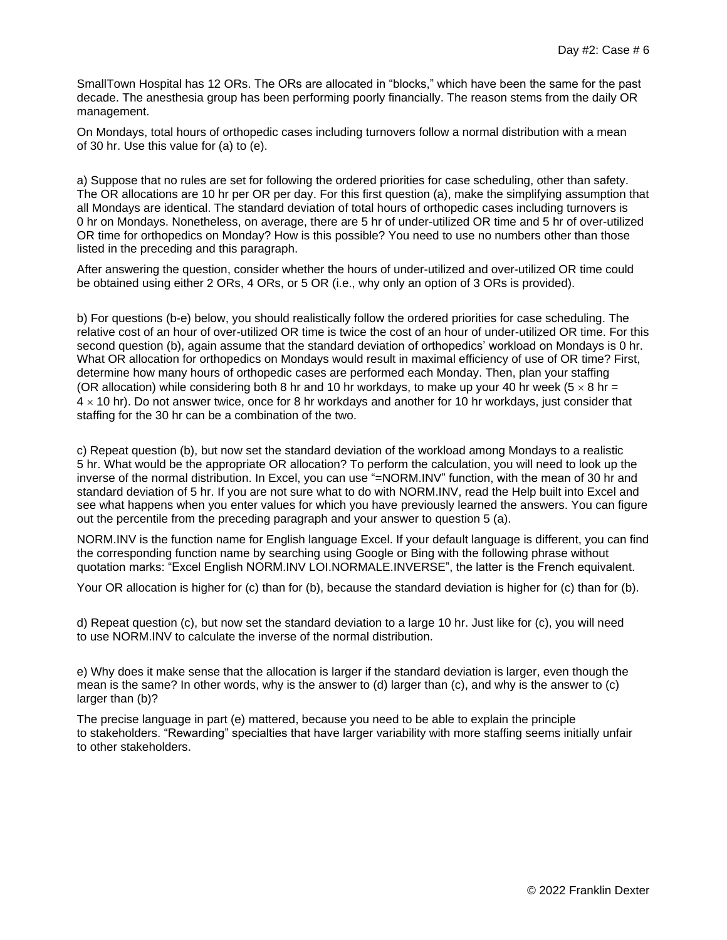SmallTown Hospital has 12 ORs. The ORs are allocated in "blocks," which have been the same for the past decade. The anesthesia group has been performing poorly financially. The reason stems from the daily OR management.

On Mondays, total hours of orthopedic cases including turnovers follow a normal distribution with a mean of 30 hr. Use this value for (a) to (e).

a) Suppose that no rules are set for following the ordered priorities for case scheduling, other than safety. The OR allocations are 10 hr per OR per day. For this first question (a), make the simplifying assumption that all Mondays are identical. The standard deviation of total hours of orthopedic cases including turnovers is 0 hr on Mondays. Nonetheless, on average, there are 5 hr of under-utilized OR time and 5 hr of over-utilized OR time for orthopedics on Monday? How is this possible? You need to use no numbers other than those listed in the preceding and this paragraph.

After answering the question, consider whether the hours of under-utilized and over-utilized OR time could be obtained using either 2 ORs, 4 ORs, or 5 OR (i.e., why only an option of 3 ORs is provided).

b) For questions (b-e) below, you should realistically follow the ordered priorities for case scheduling. The relative cost of an hour of over-utilized OR time is twice the cost of an hour of under-utilized OR time. For this second question (b), again assume that the standard deviation of orthopedics' workload on Mondays is 0 hr. What OR allocation for orthopedics on Mondays would result in maximal efficiency of use of OR time? First, determine how many hours of orthopedic cases are performed each Monday. Then, plan your staffing (OR allocation) while considering both 8 hr and 10 hr workdays, to make up your 40 hr week ( $5 \times 8$  hr =  $4 \times 10$  hr). Do not answer twice, once for 8 hr workdays and another for 10 hr workdays, just consider that staffing for the 30 hr can be a combination of the two.

c) Repeat question (b), but now set the standard deviation of the workload among Mondays to a realistic 5 hr. What would be the appropriate OR allocation? To perform the calculation, you will need to look up the inverse of the normal distribution. In Excel, you can use "=NORM.INV" function, with the mean of 30 hr and standard deviation of 5 hr. If you are not sure what to do with NORM.INV, read the Help built into Excel and see what happens when you enter values for which you have previously learned the answers. You can figure out the percentile from the preceding paragraph and your answer to question 5 (a).

NORM.INV is the function name for English language Excel. If your default language is different, you can find the corresponding function name by searching using Google or Bing with the following phrase without quotation marks: "Excel English NORM.INV LOI.NORMALE.INVERSE", the latter is the French equivalent.

Your OR allocation is higher for (c) than for (b), because the standard deviation is higher for (c) than for (b).

d) Repeat question (c), but now set the standard deviation to a large 10 hr. Just like for (c), you will need to use NORM.INV to calculate the inverse of the normal distribution.

e) Why does it make sense that the allocation is larger if the standard deviation is larger, even though the mean is the same? In other words, why is the answer to (d) larger than (c), and why is the answer to (c) larger than (b)?

The precise language in part (e) mattered, because you need to be able to explain the principle to stakeholders. "Rewarding" specialties that have larger variability with more staffing seems initially unfair to other stakeholders.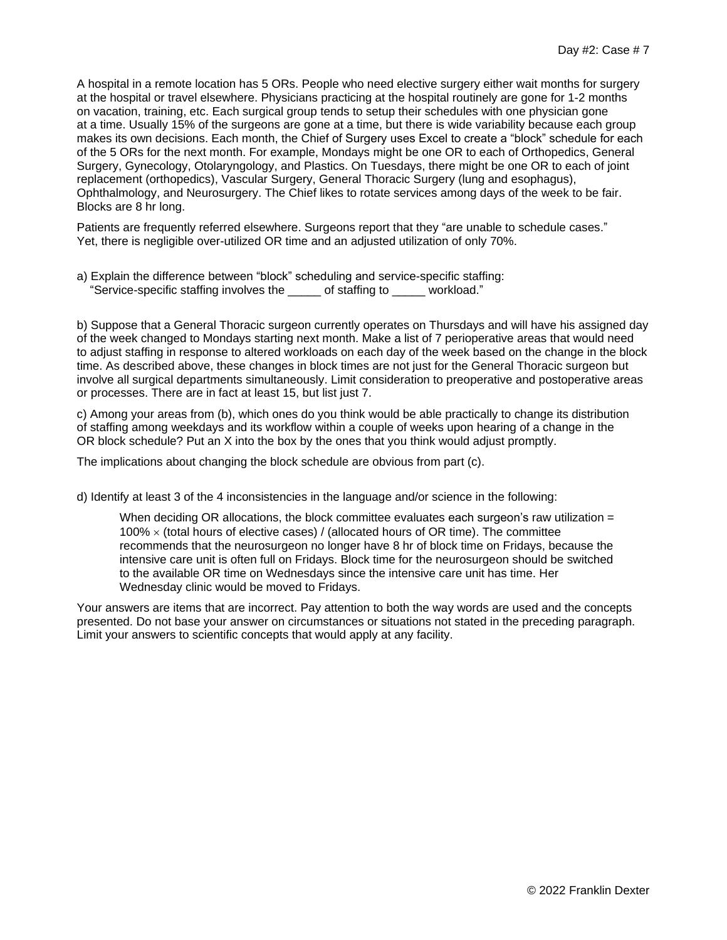A hospital in a remote location has 5 ORs. People who need elective surgery either wait months for surgery at the hospital or travel elsewhere. Physicians practicing at the hospital routinely are gone for 1-2 months on vacation, training, etc. Each surgical group tends to setup their schedules with one physician gone at a time. Usually 15% of the surgeons are gone at a time, but there is wide variability because each group makes its own decisions. Each month, the Chief of Surgery uses Excel to create a "block" schedule for each of the 5 ORs for the next month. For example, Mondays might be one OR to each of Orthopedics, General Surgery, Gynecology, Otolaryngology, and Plastics. On Tuesdays, there might be one OR to each of joint replacement (orthopedics), Vascular Surgery, General Thoracic Surgery (lung and esophagus), Ophthalmology, and Neurosurgery. The Chief likes to rotate services among days of the week to be fair. Blocks are 8 hr long.

Patients are frequently referred elsewhere. Surgeons report that they "are unable to schedule cases." Yet, there is negligible over-utilized OR time and an adjusted utilization of only 70%.

a) Explain the difference between "block" scheduling and service-specific staffing: "Service-specific staffing involves the \_\_\_\_\_ of staffing to \_\_\_\_\_ workload."

b) Suppose that a General Thoracic surgeon currently operates on Thursdays and will have his assigned day of the week changed to Mondays starting next month. Make a list of 7 perioperative areas that would need to adjust staffing in response to altered workloads on each day of the week based on the change in the block time. As described above, these changes in block times are not just for the General Thoracic surgeon but involve all surgical departments simultaneously. Limit consideration to preoperative and postoperative areas or processes. There are in fact at least 15, but list just 7.

c) Among your areas from (b), which ones do you think would be able practically to change its distribution of staffing among weekdays and its workflow within a couple of weeks upon hearing of a change in the OR block schedule? Put an X into the box by the ones that you think would adjust promptly.

The implications about changing the block schedule are obvious from part (c).

d) Identify at least 3 of the 4 inconsistencies in the language and/or science in the following:

When deciding OR allocations, the block committee evaluates each surgeon's raw utilization  $=$  $100\% \times$  (total hours of elective cases) / (allocated hours of OR time). The committee recommends that the neurosurgeon no longer have 8 hr of block time on Fridays, because the intensive care unit is often full on Fridays. Block time for the neurosurgeon should be switched to the available OR time on Wednesdays since the intensive care unit has time. Her Wednesday clinic would be moved to Fridays.

Your answers are items that are incorrect. Pay attention to both the way words are used and the concepts presented. Do not base your answer on circumstances or situations not stated in the preceding paragraph. Limit your answers to scientific concepts that would apply at any facility.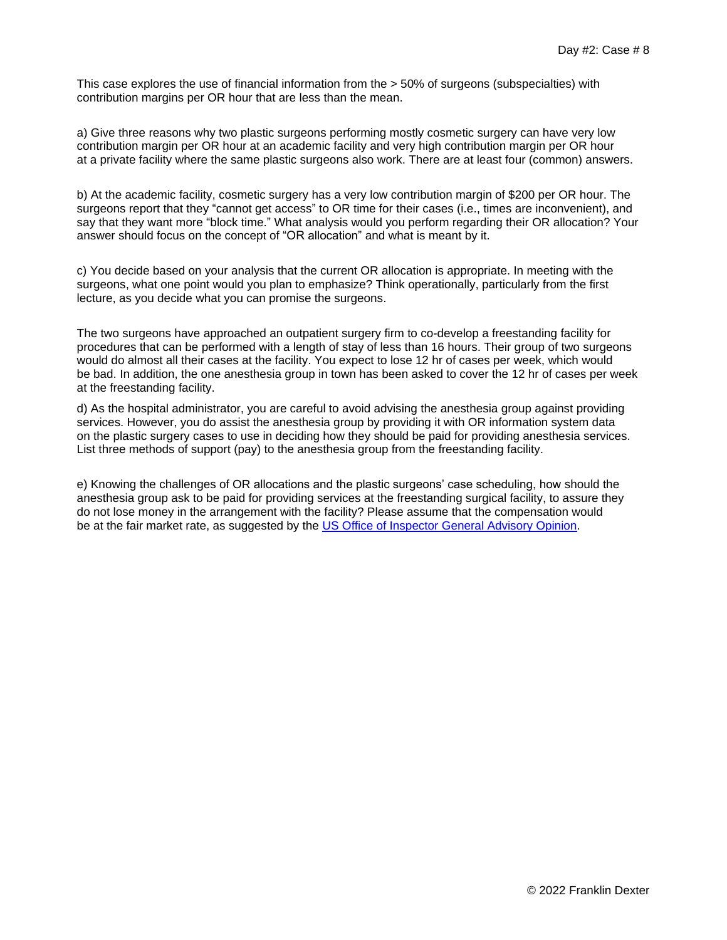This case explores the use of financial information from the > 50% of surgeons (subspecialties) with contribution margins per OR hour that are less than the mean.

a) Give three reasons why two plastic surgeons performing mostly cosmetic surgery can have very low contribution margin per OR hour at an academic facility and very high contribution margin per OR hour at a private facility where the same plastic surgeons also work. There are at least four (common) answers.

b) At the academic facility, cosmetic surgery has a very low contribution margin of \$200 per OR hour. The surgeons report that they "cannot get access" to OR time for their cases (i.e., times are inconvenient), and say that they want more "block time." What analysis would you perform regarding their OR allocation? Your answer should focus on the concept of "OR allocation" and what is meant by it.

c) You decide based on your analysis that the current OR allocation is appropriate. In meeting with the surgeons, what one point would you plan to emphasize? Think operationally, particularly from the first lecture, as you decide what you can promise the surgeons.

The two surgeons have approached an outpatient surgery firm to co-develop a freestanding facility for procedures that can be performed with a length of stay of less than 16 hours. Their group of two surgeons would do almost all their cases at the facility. You expect to lose 12 hr of cases per week, which would be bad. In addition, the one anesthesia group in town has been asked to cover the 12 hr of cases per week at the freestanding facility.

d) As the hospital administrator, you are careful to avoid advising the anesthesia group against providing services. However, you do assist the anesthesia group by providing it with OR information system data on the plastic surgery cases to use in deciding how they should be paid for providing anesthesia services. List three methods of support (pay) to the anesthesia group from the freestanding facility.

e) Knowing the challenges of OR allocations and the plastic surgeons' case scheduling, how should the anesthesia group ask to be paid for providing services at the freestanding surgical facility, to assure they do not lose money in the arrangement with the facility? Please assume that the compensation would be at the fair market rate, as suggested by the [US Office of Inspector General Advisory Opinion.](https://oig.hhs.gov/documents/advisory-opinions/673/AO-13-15.pdf)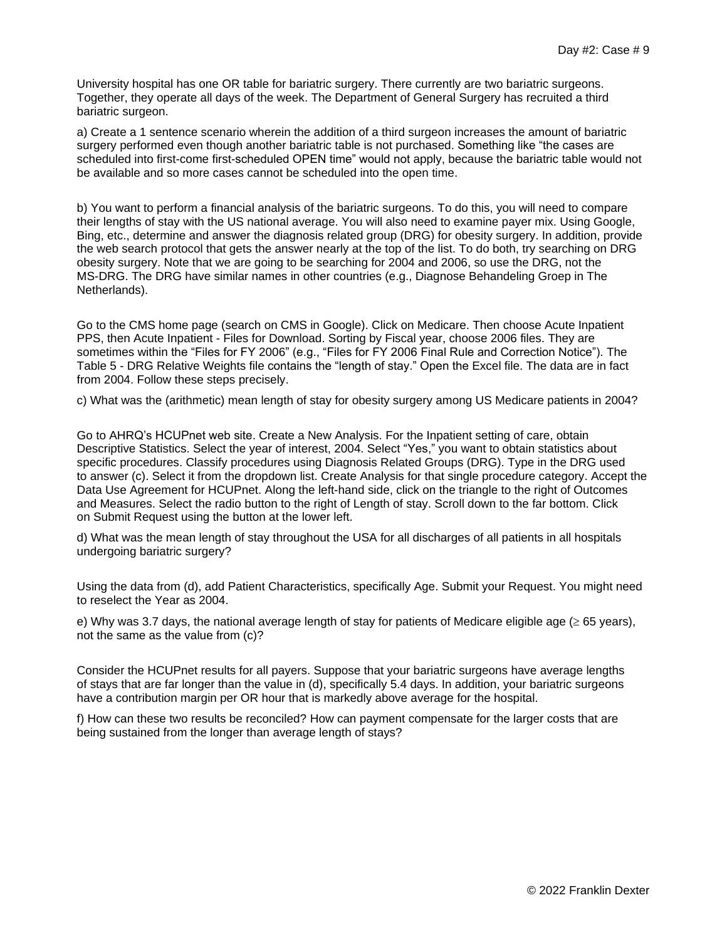University hospital has one OR table for bariatric surgery. There currently are two bariatric surgeons. Together, they operate all days of the week. The Department of General Surgery has recruited a third bariatric surgeon.

a) Create a 1 sentence scenario wherein the addition of a third surgeon increases the amount of bariatric surgery performed even though another bariatric table is not purchased. Something like "the cases are scheduled into first-come first-scheduled OPEN time" would not apply, because the bariatric table would not be available and so more cases cannot be scheduled into the open time.

b) You want to perform a financial analysis of the bariatric surgeons. To do this, you will need to compare their lengths of stay with the US national average. You will also need to examine payer mix. Using Google, Bing, etc., determine and answer the diagnosis related group (DRG) for obesity surgery. In addition, provide the web search protocol that gets the answer nearly at the top of the list. To do both, try searching on DRG obesity surgery. Note that we are going to be searching for 2004 and 2006, so use the DRG, not the MS-DRG. The DRG have similar names in other countries (e.g., Diagnose Behandeling Groep in The Netherlands).

Go to the CMS home page (search on CMS in Google). Click on Medicare. Then choose Acute Inpatient PPS, then Acute Inpatient - Files for Download. Sorting by Fiscal year, choose 2006 files. They are sometimes within the "Files for FY 2006" (e.g., "Files for FY 2006 Final Rule and Correction Notice"). The Table 5 - DRG Relative Weights file contains the "length of stay." Open the Excel file. The data are in fact from 2004. Follow these steps precisely.

c) What was the (arithmetic) mean length of stay for obesity surgery among US Medicare patients in 2004?

Go to AHRQ's HCUPnet web site. Create a New Analysis. For the Inpatient setting of care, obtain Descriptive Statistics. Select the year of interest, 2004. Select "Yes," you want to obtain statistics about specific procedures. Classify procedures using Diagnosis Related Groups (DRG). Type in the DRG used to answer (c). Select it from the dropdown list. Create Analysis for that single procedure category. Accept the Data Use Agreement for HCUPnet. Along the left-hand side, click on the triangle to the right of Outcomes and Measures. Select the radio button to the right of Length of stay. Scroll down to the far bottom. Click on Submit Request using the button at the lower left.

d) What was the mean length of stay throughout the USA for all discharges of all patients in all hospitals undergoing bariatric surgery?

Using the data from (d), add Patient Characteristics, specifically Age. Submit your Request. You might need to reselect the Year as 2004.

e) Why was 3.7 days, the national average length of stay for patients of Medicare eligible age ( $\geq 65$  years), not the same as the value from (c)?

Consider the HCUPnet results for all payers. Suppose that your bariatric surgeons have average lengths of stays that are far longer than the value in (d), specifically 5.4 days. In addition, your bariatric surgeons have a contribution margin per OR hour that is markedly above average for the hospital.

f) How can these two results be reconciled? How can payment compensate for the larger costs that are being sustained from the longer than average length of stays?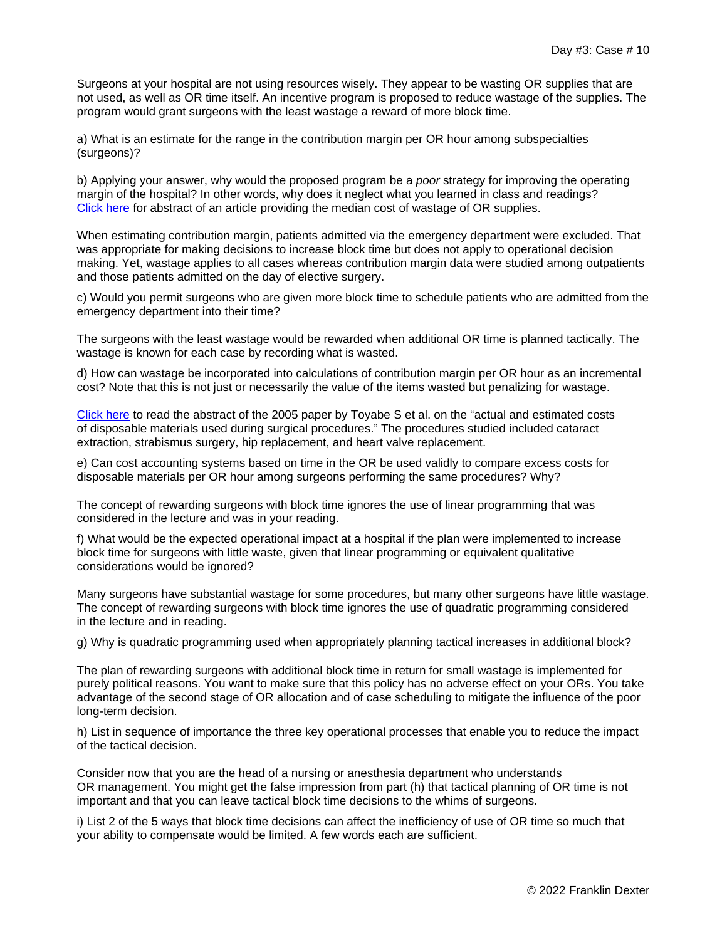Surgeons at your hospital are not using resources wisely. They appear to be wasting OR supplies that are not used, as well as OR time itself. An incentive program is proposed to reduce wastage of the supplies. The program would grant surgeons with the least wastage a reward of more block time.

a) What is an estimate for the range in the contribution margin per OR hour among subspecialties (surgeons)?

b) Applying your answer, why would the proposed program be a *poor* strategy for improving the operating margin of the hospital? In other words, why does it neglect what you learned in class and readings? [Click](https://www.ncbi.nlm.nih.gov/pubmed/29432971) here for abstract of an article providing the median cost of wastage of OR supplies.

When estimating contribution margin, patients admitted via the emergency department were excluded. That was appropriate for making decisions to increase block time but does not apply to operational decision making. Yet, wastage applies to all cases whereas contribution margin data were studied among outpatients and those patients admitted on the day of elective surgery.

c) Would you permit surgeons who are given more block time to schedule patients who are admitted from the emergency department into their time?

The surgeons with the least wastage would be rewarded when additional OR time is planned tactically. The wastage is known for each case by recording what is wasted.

d) How can wastage be incorporated into calculations of contribution margin per OR hour as an incremental cost? Note that this is not just or necessarily the value of the items wasted but penalizing for wastage.

[Click here](https://www.ncbi.nlm.nih.gov/pubmed/15911056) to read the abstract of the 2005 paper by Toyabe S et al. on the "actual and estimated costs of disposable materials used during surgical procedures." The procedures studied included cataract extraction, strabismus surgery, hip replacement, and heart valve replacement.

e) Can cost accounting systems based on time in the OR be used validly to compare excess costs for disposable materials per OR hour among surgeons performing the same procedures? Why?

The concept of rewarding surgeons with block time ignores the use of linear programming that was considered in the lecture and was in your reading.

f) What would be the expected operational impact at a hospital if the plan were implemented to increase block time for surgeons with little waste, given that linear programming or equivalent qualitative considerations would be ignored?

Many surgeons have substantial wastage for some procedures, but many other surgeons have little wastage. The concept of rewarding surgeons with block time ignores the use of quadratic programming considered in the lecture and in reading.

g) Why is quadratic programming used when appropriately planning tactical increases in additional block?

The plan of rewarding surgeons with additional block time in return for small wastage is implemented for purely political reasons. You want to make sure that this policy has no adverse effect on your ORs. You take advantage of the second stage of OR allocation and of case scheduling to mitigate the influence of the poor long-term decision.

h) List in sequence of importance the three key operational processes that enable you to reduce the impact of the tactical decision.

Consider now that you are the head of a nursing or anesthesia department who understands OR management. You might get the false impression from part (h) that tactical planning of OR time is not important and that you can leave tactical block time decisions to the whims of surgeons.

i) List 2 of the 5 ways that block time decisions can affect the inefficiency of use of OR time so much that your ability to compensate would be limited. A few words each are sufficient.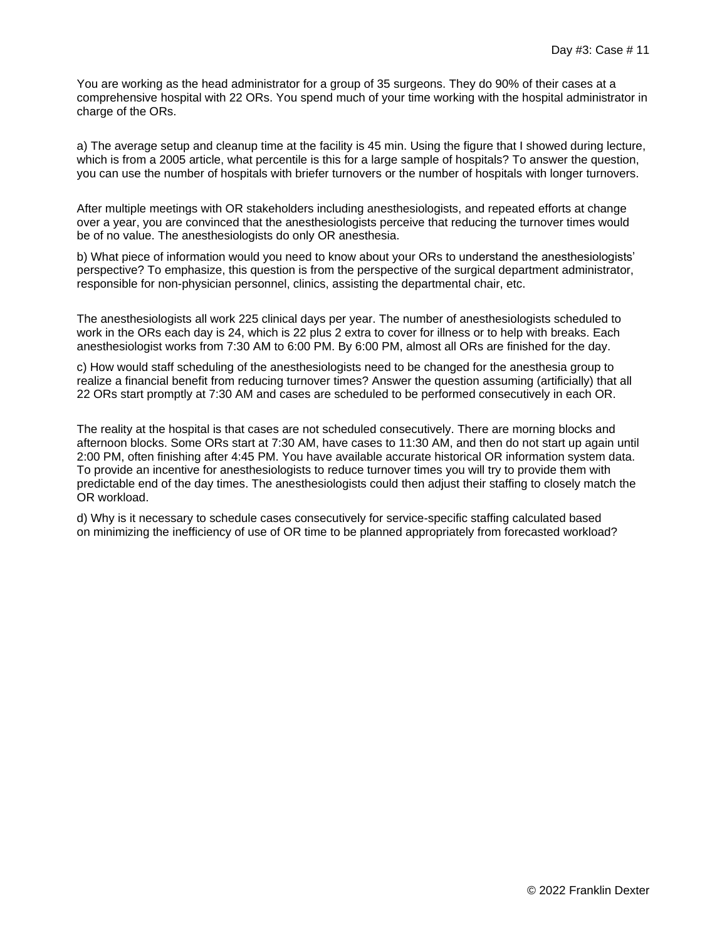You are working as the head administrator for a group of 35 surgeons. They do 90% of their cases at a comprehensive hospital with 22 ORs. You spend much of your time working with the hospital administrator in charge of the ORs.

a) The average setup and cleanup time at the facility is 45 min. Using the figure that I showed during lecture, which is from a 2005 article, what percentile is this for a large sample of hospitals? To answer the question, you can use the number of hospitals with briefer turnovers or the number of hospitals with longer turnovers.

After multiple meetings with OR stakeholders including anesthesiologists, and repeated efforts at change over a year, you are convinced that the anesthesiologists perceive that reducing the turnover times would be of no value. The anesthesiologists do only OR anesthesia.

b) What piece of information would you need to know about your ORs to understand the anesthesiologists' perspective? To emphasize, this question is from the perspective of the surgical department administrator, responsible for non-physician personnel, clinics, assisting the departmental chair, etc.

The anesthesiologists all work 225 clinical days per year. The number of anesthesiologists scheduled to work in the ORs each day is 24, which is 22 plus 2 extra to cover for illness or to help with breaks. Each anesthesiologist works from 7:30 AM to 6:00 PM. By 6:00 PM, almost all ORs are finished for the day.

c) How would staff scheduling of the anesthesiologists need to be changed for the anesthesia group to realize a financial benefit from reducing turnover times? Answer the question assuming (artificially) that all 22 ORs start promptly at 7:30 AM and cases are scheduled to be performed consecutively in each OR.

The reality at the hospital is that cases are not scheduled consecutively. There are morning blocks and afternoon blocks. Some ORs start at 7:30 AM, have cases to 11:30 AM, and then do not start up again until 2:00 PM, often finishing after 4:45 PM. You have available accurate historical OR information system data. To provide an incentive for anesthesiologists to reduce turnover times you will try to provide them with predictable end of the day times. The anesthesiologists could then adjust their staffing to closely match the OR workload.

d) Why is it necessary to schedule cases consecutively for service-specific staffing calculated based on minimizing the inefficiency of use of OR time to be planned appropriately from forecasted workload?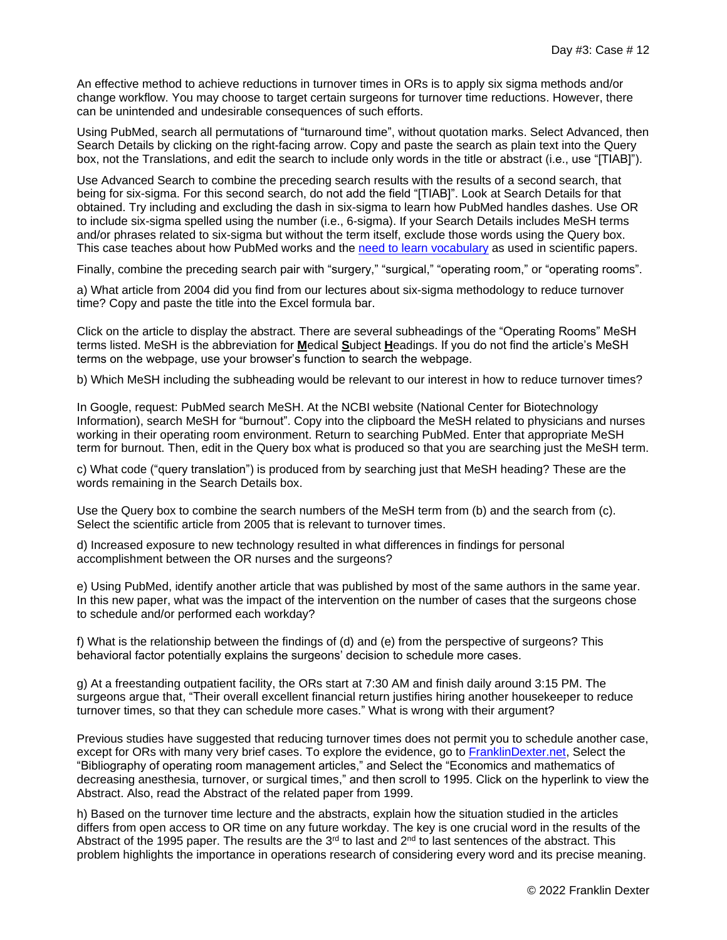An effective method to achieve reductions in turnover times in ORs is to apply six sigma methods and/or change workflow. You may choose to target certain surgeons for turnover time reductions. However, there can be unintended and undesirable consequences of such efforts.

Using PubMed, search all permutations of "turnaround time", without quotation marks. Select Advanced, then Search Details by clicking on the right-facing arrow. Copy and paste the search as plain text into the Query box, not the Translations, and edit the search to include only words in the title or abstract (i.e., use "[TIAB]").

Use Advanced Search to combine the preceding search results with the results of a second search, that being for six-sigma. For this second search, do not add the field "[TIAB]". Look at Search Details for that obtained. Try including and excluding the dash in six-sigma to learn how PubMed handles dashes. Use OR to include six-sigma spelled using the number (i.e., 6-sigma). If your Search Details includes MeSH terms and/or phrases related to six-sigma but without the term itself, exclude those words using the Query box. This case teaches about how PubMed works and the [need to learn vocabulary](https://www.ncbi.nlm.nih.gov/pubmed/24257396) as used in scientific papers.

Finally, combine the preceding search pair with "surgery," "surgical," "operating room," or "operating rooms".

a) What article from 2004 did you find from our lectures about six-sigma methodology to reduce turnover time? Copy and paste the title into the Excel formula bar.

Click on the article to display the abstract. There are several subheadings of the "Operating Rooms" MeSH terms listed. MeSH is the abbreviation for **M**edical **S**ubject **H**eadings. If you do not find the article's MeSH terms on the webpage, use your browser's function to search the webpage.

b) Which MeSH including the subheading would be relevant to our interest in how to reduce turnover times?

In Google, request: PubMed search MeSH. At the NCBI website (National Center for Biotechnology Information), search MeSH for "burnout". Copy into the clipboard the MeSH related to physicians and nurses working in their operating room environment. Return to searching PubMed. Enter that appropriate MeSH term for burnout. Then, edit in the Query box what is produced so that you are searching just the MeSH term.

c) What code ("query translation") is produced from by searching just that MeSH heading? These are the words remaining in the Search Details box.

Use the Query box to combine the search numbers of the MeSH term from (b) and the search from (c). Select the scientific article from 2005 that is relevant to turnover times.

d) Increased exposure to new technology resulted in what differences in findings for personal accomplishment between the OR nurses and the surgeons?

e) Using PubMed, identify another article that was published by most of the same authors in the same year. In this new paper, what was the impact of the intervention on the number of cases that the surgeons chose to schedule and/or performed each workday?

f) What is the relationship between the findings of (d) and (e) from the perspective of surgeons? This behavioral factor potentially explains the surgeons' decision to schedule more cases.

g) At a freestanding outpatient facility, the ORs start at 7:30 AM and finish daily around 3:15 PM. The surgeons argue that, "Their overall excellent financial return justifies hiring another housekeeper to reduce turnover times, so that they can schedule more cases." What is wrong with their argument?

Previous studies have suggested that reducing turnover times does not permit you to schedule another case, except for ORs with many very brief cases. To explore the evidence, go to [FranklinDexter.net,](https://www.franklindexter.net/) Select the "Bibliography of operating room management articles," and Select the "Economics and mathematics of decreasing anesthesia, turnover, or surgical times," and then scroll to 1995. Click on the hyperlink to view the Abstract. Also, read the Abstract of the related paper from 1999.

h) Based on the turnover time lecture and the abstracts, explain how the situation studied in the articles differs from open access to OR time on any future workday. The key is one crucial word in the results of the Abstract of the 1995 paper. The results are the 3<sup>rd</sup> to last and 2<sup>nd</sup> to last sentences of the abstract. This problem highlights the importance in operations research of considering every word and its precise meaning.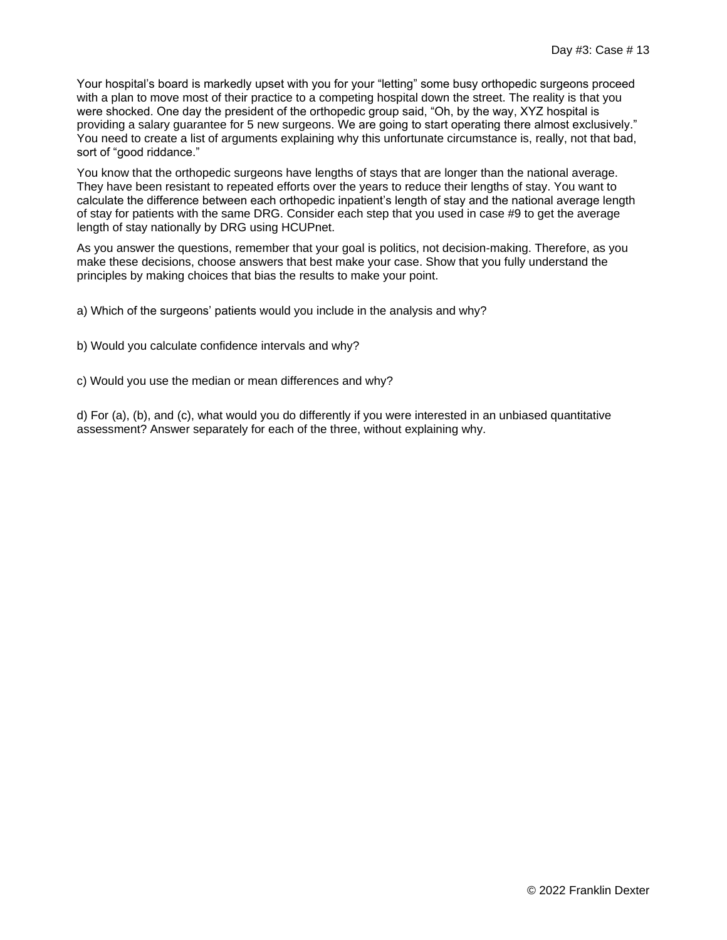Your hospital's board is markedly upset with you for your "letting" some busy orthopedic surgeons proceed with a plan to move most of their practice to a competing hospital down the street. The reality is that you were shocked. One day the president of the orthopedic group said, "Oh, by the way, XYZ hospital is providing a salary guarantee for 5 new surgeons. We are going to start operating there almost exclusively." You need to create a list of arguments explaining why this unfortunate circumstance is, really, not that bad, sort of "good riddance."

You know that the orthopedic surgeons have lengths of stays that are longer than the national average. They have been resistant to repeated efforts over the years to reduce their lengths of stay. You want to calculate the difference between each orthopedic inpatient's length of stay and the national average length of stay for patients with the same DRG. Consider each step that you used in case #9 to get the average length of stay nationally by DRG using HCUPnet.

As you answer the questions, remember that your goal is politics, not decision-making. Therefore, as you make these decisions, choose answers that best make your case. Show that you fully understand the principles by making choices that bias the results to make your point.

a) Which of the surgeons' patients would you include in the analysis and why?

- b) Would you calculate confidence intervals and why?
- c) Would you use the median or mean differences and why?

d) For (a), (b), and (c), what would you do differently if you were interested in an unbiased quantitative assessment? Answer separately for each of the three, without explaining why.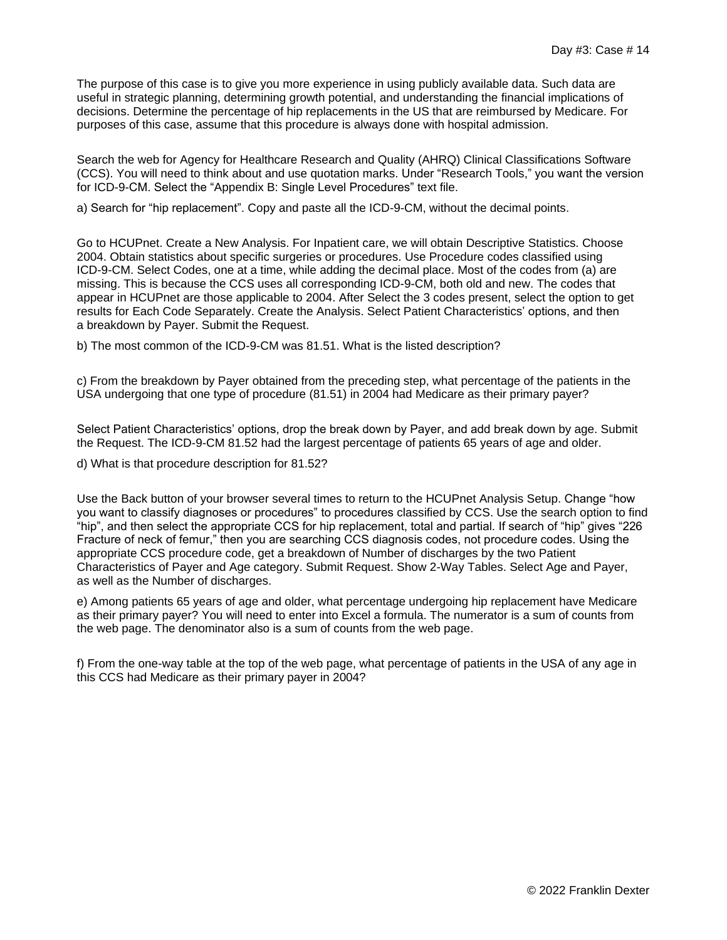The purpose of this case is to give you more experience in using publicly available data. Such data are useful in strategic planning, determining growth potential, and understanding the financial implications of decisions. Determine the percentage of hip replacements in the US that are reimbursed by Medicare. For purposes of this case, assume that this procedure is always done with hospital admission.

Search the web for Agency for Healthcare Research and Quality (AHRQ) Clinical Classifications Software (CCS). You will need to think about and use quotation marks. Under "Research Tools," you want the version for ICD-9-CM. Select the "Appendix B: Single Level Procedures" text file.

a) Search for "hip replacement". Copy and paste all the ICD-9-CM, without the decimal points.

Go to HCUPnet. Create a New Analysis. For Inpatient care, we will obtain Descriptive Statistics. Choose 2004. Obtain statistics about specific surgeries or procedures. Use Procedure codes classified using ICD-9-CM. Select Codes, one at a time, while adding the decimal place. Most of the codes from (a) are missing. This is because the CCS uses all corresponding ICD-9-CM, both old and new. The codes that appear in HCUPnet are those applicable to 2004. After Select the 3 codes present, select the option to get results for Each Code Separately. Create the Analysis. Select Patient Characteristics' options, and then a breakdown by Payer. Submit the Request.

b) The most common of the ICD-9-CM was 81.51. What is the listed description?

c) From the breakdown by Payer obtained from the preceding step, what percentage of the patients in the USA undergoing that one type of procedure (81.51) in 2004 had Medicare as their primary payer?

Select Patient Characteristics' options, drop the break down by Payer, and add break down by age. Submit the Request. The ICD-9-CM 81.52 had the largest percentage of patients 65 years of age and older.

d) What is that procedure description for 81.52?

Use the Back button of your browser several times to return to the HCUPnet Analysis Setup. Change "how you want to classify diagnoses or procedures" to procedures classified by CCS. Use the search option to find "hip", and then select the appropriate CCS for hip replacement, total and partial. If search of "hip" gives "226 Fracture of neck of femur," then you are searching CCS diagnosis codes, not procedure codes. Using the appropriate CCS procedure code, get a breakdown of Number of discharges by the two Patient Characteristics of Payer and Age category. Submit Request. Show 2-Way Tables. Select Age and Payer, as well as the Number of discharges.

e) Among patients 65 years of age and older, what percentage undergoing hip replacement have Medicare as their primary payer? You will need to enter into Excel a formula. The numerator is a sum of counts from the web page. The denominator also is a sum of counts from the web page.

f) From the one-way table at the top of the web page, what percentage of patients in the USA of any age in this CCS had Medicare as their primary payer in 2004?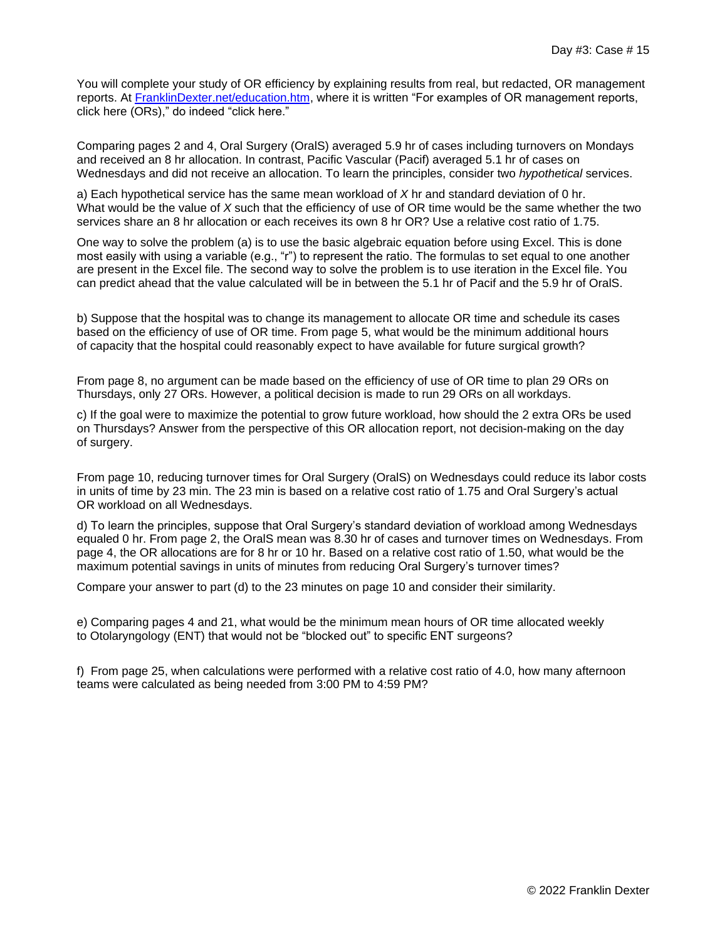You will complete your study of OR efficiency by explaining results from real, but redacted, OR management reports. At [FranklinDexter.net/education.htm,](https://franklindexter.net/education.htm) where it is written "For examples of OR management reports, click here (ORs)," do indeed "click here."

Comparing pages 2 and 4, Oral Surgery (OralS) averaged 5.9 hr of cases including turnovers on Mondays and received an 8 hr allocation. In contrast, Pacific Vascular (Pacif) averaged 5.1 hr of cases on Wednesdays and did not receive an allocation. To learn the principles, consider two *hypothetical* services.

a) Each hypothetical service has the same mean workload of *X* hr and standard deviation of 0 hr. What would be the value of *X* such that the efficiency of use of OR time would be the same whether the two services share an 8 hr allocation or each receives its own 8 hr OR? Use a relative cost ratio of 1.75.

One way to solve the problem (a) is to use the basic algebraic equation before using Excel. This is done most easily with using a variable (e.g., "r") to represent the ratio. The formulas to set equal to one another are present in the Excel file. The second way to solve the problem is to use iteration in the Excel file. You can predict ahead that the value calculated will be in between the 5.1 hr of Pacif and the 5.9 hr of OralS.

b) Suppose that the hospital was to change its management to allocate OR time and schedule its cases based on the efficiency of use of OR time. From page 5, what would be the minimum additional hours of capacity that the hospital could reasonably expect to have available for future surgical growth?

From page 8, no argument can be made based on the efficiency of use of OR time to plan 29 ORs on Thursdays, only 27 ORs. However, a political decision is made to run 29 ORs on all workdays.

c) If the goal were to maximize the potential to grow future workload, how should the 2 extra ORs be used on Thursdays? Answer from the perspective of this OR allocation report, not decision-making on the day of surgery.

From page 10, reducing turnover times for Oral Surgery (OralS) on Wednesdays could reduce its labor costs in units of time by 23 min. The 23 min is based on a relative cost ratio of 1.75 and Oral Surgery's actual OR workload on all Wednesdays.

d) To learn the principles, suppose that Oral Surgery's standard deviation of workload among Wednesdays equaled 0 hr. From page 2, the OralS mean was 8.30 hr of cases and turnover times on Wednesdays. From page 4, the OR allocations are for 8 hr or 10 hr. Based on a relative cost ratio of 1.50, what would be the maximum potential savings in units of minutes from reducing Oral Surgery's turnover times?

Compare your answer to part (d) to the 23 minutes on page 10 and consider their similarity.

e) Comparing pages 4 and 21, what would be the minimum mean hours of OR time allocated weekly to Otolaryngology (ENT) that would not be "blocked out" to specific ENT surgeons?

f) From page 25, when calculations were performed with a relative cost ratio of 4.0, how many afternoon teams were calculated as being needed from 3:00 PM to 4:59 PM?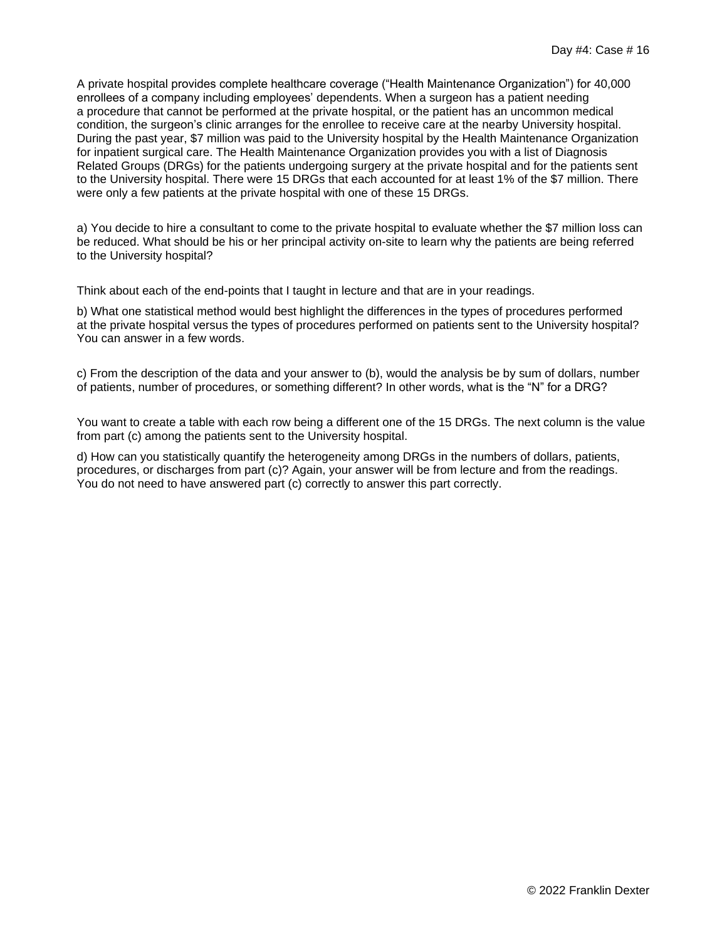A private hospital provides complete healthcare coverage ("Health Maintenance Organization") for 40,000 enrollees of a company including employees' dependents. When a surgeon has a patient needing a procedure that cannot be performed at the private hospital, or the patient has an uncommon medical condition, the surgeon's clinic arranges for the enrollee to receive care at the nearby University hospital. During the past year, \$7 million was paid to the University hospital by the Health Maintenance Organization for inpatient surgical care. The Health Maintenance Organization provides you with a list of Diagnosis Related Groups (DRGs) for the patients undergoing surgery at the private hospital and for the patients sent to the University hospital. There were 15 DRGs that each accounted for at least 1% of the \$7 million. There were only a few patients at the private hospital with one of these 15 DRGs.

a) You decide to hire a consultant to come to the private hospital to evaluate whether the \$7 million loss can be reduced. What should be his or her principal activity on-site to learn why the patients are being referred to the University hospital?

Think about each of the end-points that I taught in lecture and that are in your readings.

b) What one statistical method would best highlight the differences in the types of procedures performed at the private hospital versus the types of procedures performed on patients sent to the University hospital? You can answer in a few words.

c) From the description of the data and your answer to (b), would the analysis be by sum of dollars, number of patients, number of procedures, or something different? In other words, what is the "N" for a DRG?

You want to create a table with each row being a different one of the 15 DRGs. The next column is the value from part (c) among the patients sent to the University hospital.

d) How can you statistically quantify the heterogeneity among DRGs in the numbers of dollars, patients, procedures, or discharges from part (c)? Again, your answer will be from lecture and from the readings. You do not need to have answered part (c) correctly to answer this part correctly.